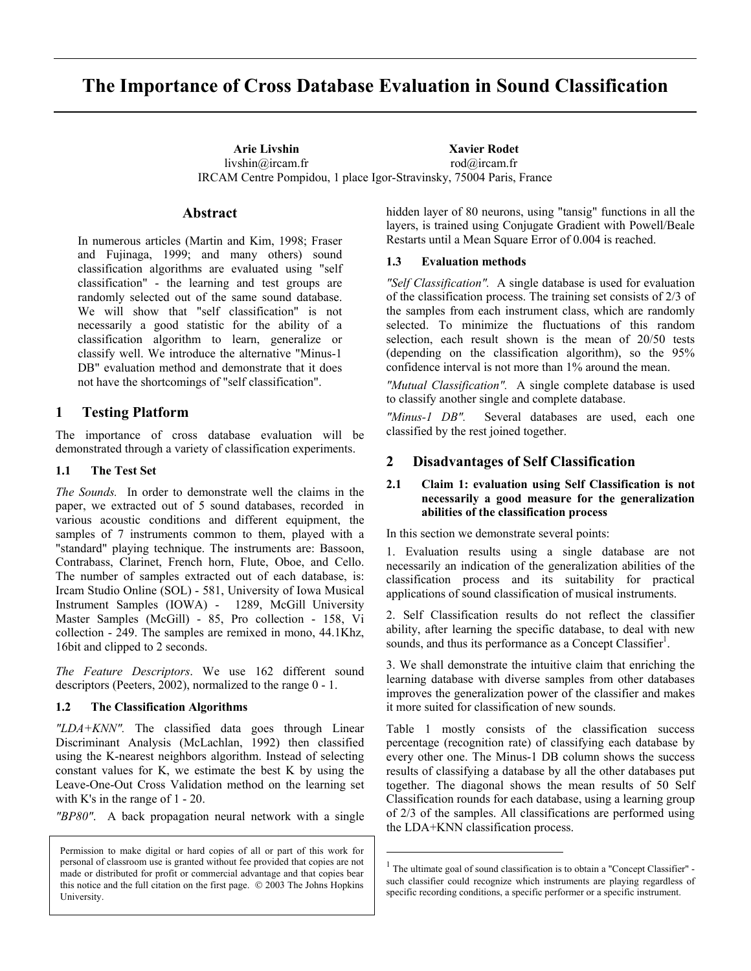# **The Importance of Cross Database Evaluation in Sound Classification**

**Arie Livshin**  livshin@ircam.fr **Xavier Rodet**  rod@ircam.fr IRCAM Centre Pompidou, 1 place Igor-Stravinsky, 75004 Paris, France

l

# **Abstract**

In numerous articles (Martin and Kim, 1998; Fraser and Fujinaga, 1999; and many others) sound classification algorithms are evaluated using "self classification" - the learning and test groups are randomly selected out of the same sound database. We will show that "self classification" is not necessarily a good statistic for the ability of a classification algorithm to learn, generalize or classify well. We introduce the alternative "Minus-1 DB" evaluation method and demonstrate that it does not have the shortcomings of "self classification".

# **1 Testing Platform**

The importance of cross database evaluation will be demonstrated through a variety of classification experiments.

### **1.1 The Test Set**

*The Sounds.* In order to demonstrate well the claims in the paper, we extracted out of 5 sound databases, recorded in various acoustic conditions and different equipment, the samples of 7 instruments common to them, played with a "standard" playing technique. The instruments are: Bassoon, Contrabass, Clarinet, French horn, Flute, Oboe, and Cello. The number of samples extracted out of each database, is: Ircam Studio Online (SOL) - 581, University of Iowa Musical Instrument Samples (IOWA) - 1289, McGill University Master Samples (McGill) - 85, Pro collection - 158, Vi collection - 249. The samples are remixed in mono, 44.1Khz, 16bit and clipped to 2 seconds.

*The Feature Descriptors*. We use 162 different sound descriptors (Peeters, 2002), normalized to the range 0 - 1.

### **1.2 The Classification Algorithms**

*"LDA+KNN".* The classified data goes through Linear Discriminant Analysis (McLachlan, 1992) then classified using the K-nearest neighbors algorithm. Instead of selecting constant values for K, we estimate the best K by using the Leave-One-Out Cross Validation method on the learning set with K's in the range of 1 - 20.

*"BP80"*. A back propagation neural network with a single

hidden layer of 80 neurons, using "tansig" functions in all the layers, is trained using Conjugate Gradient with Powell/Beale Restarts until a Mean Square Error of 0.004 is reached.

### **1.3 Evaluation methods**

*"Self Classification".* A single database is used for evaluation of the classification process. The training set consists of 2/3 of the samples from each instrument class, which are randomly selected. To minimize the fluctuations of this random selection, each result shown is the mean of 20/50 tests (depending on the classification algorithm), so the 95% confidence interval is not more than 1% around the mean.

*"Mutual Classification".* A single complete database is used to classify another single and complete database.

*"Minus-1 DB".* Several databases are used, each one classified by the rest joined together.

# **2 Disadvantages of Self Classification**

### **2.1 Claim 1: evaluation using Self Classification is not necessarily a good measure for the generalization abilities of the classification process**

In this section we demonstrate several points:

1. Evaluation results using a single database are not necessarily an indication of the generalization abilities of the classification process and its suitability for practical applications of sound classification of musical instruments.

2. Self Classification results do not reflect the classifier ability, after learning the specific database, to deal with new sounds, and thus its performance as a Concept Classifier<sup>1</sup>.

3. We shall demonstrate the intuitive claim that enriching the learning database with diverse samples from other databases improves the generalization power of the classifier and makes it more suited for classification of new sounds.

Table 1 mostly consists of the classification success percentage (recognition rate) of classifying each database by every other one. The Minus-1 DB column shows the success results of classifying a database by all the other databases put together. The diagonal shows the mean results of 50 Self Classification rounds for each database, using a learning group of 2/3 of the samples. All classifications are performed using the LDA+KNN classification process.

Permission to make digital or hard copies of all or part of this work for personal of classroom use is granted without fee provided that copies are not made or distributed for profit or commercial advantage and that copies bear this notice and the full citation on the first page.  $\oslash$  2003 The Johns Hopkins University.

<sup>&</sup>lt;sup>1</sup> The ultimate goal of sound classification is to obtain a "Concept Classifier" such classifier could recognize which instruments are playing regardless of specific recording conditions, a specific performer or a specific instrument.